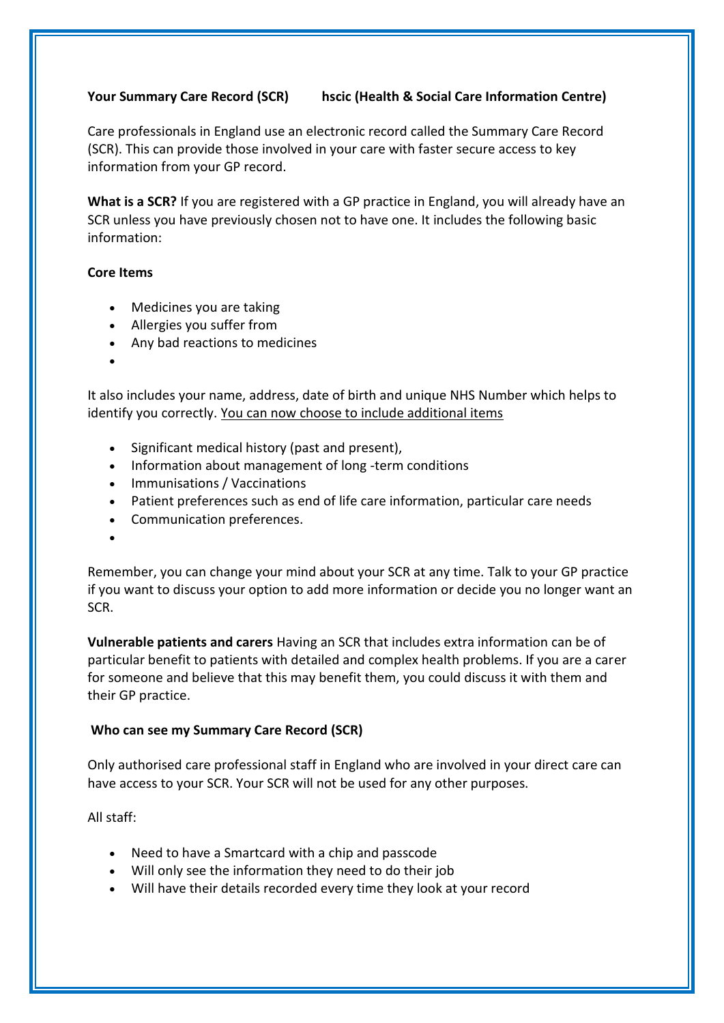## **Your Summary Care Record (SCR) hscic (Health & Social Care Information Centre)**

Care professionals in England use an electronic record called the Summary Care Record (SCR). This can provide those involved in your care with faster secure access to key information from your GP record.

**What is a SCR?** If you are registered with a GP practice in England, you will already have an SCR unless you have previously chosen not to have one. It includes the following basic information:

## **Core Items**

- Medicines you are taking
- Allergies you suffer from
- Any bad reactions to medicines
- •

It also includes your name, address, date of birth and unique NHS Number which helps to identify you correctly. You can now choose to include additional items

- Significant medical history (past and present),
- Information about management of long -term conditions
- Immunisations / Vaccinations
- Patient preferences such as end of life care information, particular care needs
- Communication preferences.
- •

Remember, you can change your mind about your SCR at any time. Talk to your GP practice if you want to discuss your option to add more information or decide you no longer want an SCR.

**Vulnerable patients and carers** Having an SCR that includes extra information can be of particular benefit to patients with detailed and complex health problems. If you are a carer for someone and believe that this may benefit them, you could discuss it with them and their GP practice.

## **Who can see my Summary Care Record (SCR)**

Only authorised care professional staff in England who are involved in your direct care can have access to your SCR. Your SCR will not be used for any other purposes.

## All staff:

- Need to have a Smartcard with a chip and passcode
- Will only see the information they need to do their job
- Will have their details recorded every time they look at your record